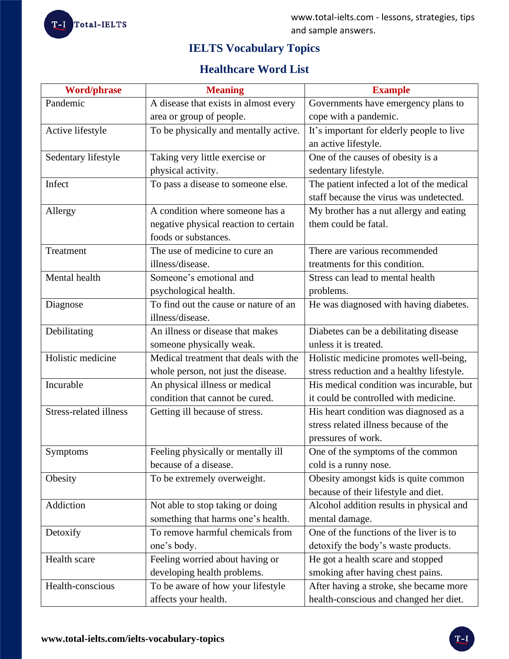

# **IELTS Vocabulary Topics**

# **Healthcare Word List**

| <b>Word/phrase</b>            | <b>Meaning</b>                        | <b>Example</b>                            |
|-------------------------------|---------------------------------------|-------------------------------------------|
| Pandemic                      | A disease that exists in almost every | Governments have emergency plans to       |
|                               | area or group of people.              | cope with a pandemic.                     |
| Active lifestyle              | To be physically and mentally active. | It's important for elderly people to live |
|                               |                                       | an active lifestyle.                      |
| Sedentary lifestyle           | Taking very little exercise or        | One of the causes of obesity is a         |
|                               | physical activity.                    | sedentary lifestyle.                      |
| Infect                        | To pass a disease to someone else.    | The patient infected a lot of the medical |
|                               |                                       | staff because the virus was undetected.   |
| Allergy                       | A condition where someone has a       | My brother has a nut allergy and eating   |
|                               | negative physical reaction to certain | them could be fatal.                      |
|                               | foods or substances.                  |                                           |
| Treatment                     | The use of medicine to cure an        | There are various recommended             |
|                               | illness/disease.                      | treatments for this condition.            |
| Mental health                 | Someone's emotional and               | Stress can lead to mental health          |
|                               | psychological health.                 | problems.                                 |
| Diagnose                      | To find out the cause or nature of an | He was diagnosed with having diabetes.    |
|                               | illness/disease.                      |                                           |
| Debilitating                  | An illness or disease that makes      | Diabetes can be a debilitating disease    |
|                               | someone physically weak.              | unless it is treated.                     |
| Holistic medicine             | Medical treatment that deals with the | Holistic medicine promotes well-being,    |
|                               | whole person, not just the disease.   | stress reduction and a healthy lifestyle. |
| Incurable                     | An physical illness or medical        | His medical condition was incurable, but  |
|                               | condition that cannot be cured.       | it could be controlled with medicine.     |
| <b>Stress-related illness</b> | Getting ill because of stress.        | His heart condition was diagnosed as a    |
|                               |                                       | stress related illness because of the     |
|                               |                                       | pressures of work.                        |
| Symptoms                      | Feeling physically or mentally ill    | One of the symptoms of the common         |
|                               | because of a disease.                 | cold is a runny nose.                     |
| Obesity                       | To be extremely overweight.           | Obesity amongst kids is quite common      |
|                               |                                       | because of their lifestyle and diet.      |
| Addiction                     | Not able to stop taking or doing      | Alcohol addition results in physical and  |
|                               | something that harms one's health.    | mental damage.                            |
| Detoxify                      | To remove harmful chemicals from      | One of the functions of the liver is to   |
|                               | one's body.                           | detoxify the body's waste products.       |
| Health scare                  | Feeling worried about having or       | He got a health scare and stopped         |
|                               | developing health problems.           | smoking after having chest pains.         |
| Health-conscious              | To be aware of how your lifestyle     | After having a stroke, she became more    |
|                               | affects your health.                  | health-conscious and changed her diet.    |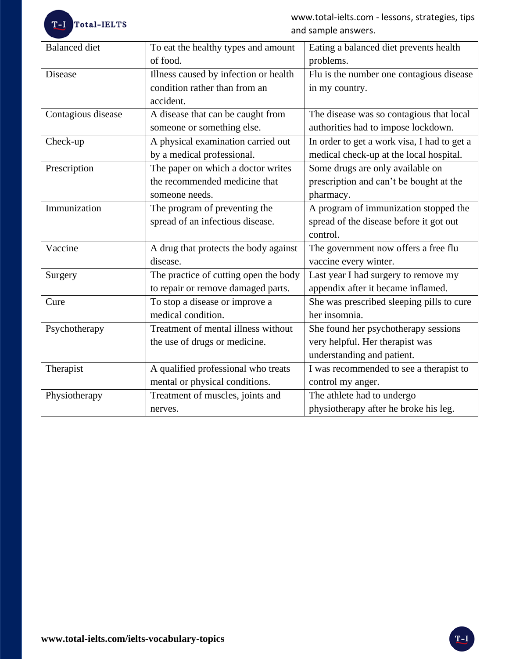T-I Total-IELTS

www.total-ielts.com - lessons, strategies, tips and sample answers.

| <b>Balanced</b> diet | To eat the healthy types and amount   | Eating a balanced diet prevents health      |
|----------------------|---------------------------------------|---------------------------------------------|
|                      | of food.                              | problems.                                   |
| <b>Disease</b>       | Illness caused by infection or health | Flu is the number one contagious disease    |
|                      | condition rather than from an         | in my country.                              |
|                      | accident.                             |                                             |
| Contagious disease   | A disease that can be caught from     | The disease was so contagious that local    |
|                      | someone or something else.            | authorities had to impose lockdown.         |
| Check-up             | A physical examination carried out    | In order to get a work visa, I had to get a |
|                      | by a medical professional.            | medical check-up at the local hospital.     |
| Prescription         | The paper on which a doctor writes    | Some drugs are only available on            |
|                      | the recommended medicine that         | prescription and can't be bought at the     |
|                      | someone needs.                        | pharmacy.                                   |
| Immunization         | The program of preventing the         | A program of immunization stopped the       |
|                      | spread of an infectious disease.      | spread of the disease before it got out     |
|                      |                                       | control.                                    |
| Vaccine              | A drug that protects the body against | The government now offers a free flu        |
|                      | disease.                              | vaccine every winter.                       |
| Surgery              | The practice of cutting open the body | Last year I had surgery to remove my        |
|                      | to repair or remove damaged parts.    | appendix after it became inflamed.          |
| Cure                 | To stop a disease or improve a        | She was prescribed sleeping pills to cure   |
|                      | medical condition.                    | her insomnia.                               |
| Psychotherapy        | Treatment of mental illness without   | She found her psychotherapy sessions        |
|                      | the use of drugs or medicine.         | very helpful. Her therapist was             |
|                      |                                       | understanding and patient.                  |
| Therapist            | A qualified professional who treats   | I was recommended to see a therapist to     |
|                      | mental or physical conditions.        | control my anger.                           |
| Physiotherapy        | Treatment of muscles, joints and      | The athlete had to undergo                  |
|                      | nerves.                               | physiotherapy after he broke his leg.       |